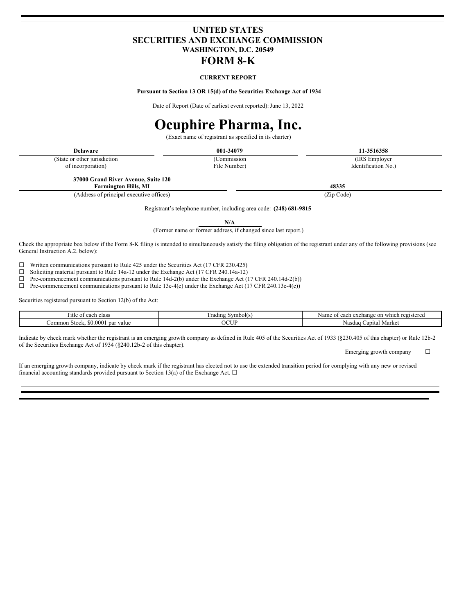# **UNITED STATES SECURITIES AND EXCHANGE COMMISSION WASHINGTON, D.C. 20549 FORM 8-K**

## **CURRENT REPORT**

**Pursuant to Section 13 OR 15(d) of the Securities Exchange Act of 1934**

Date of Report (Date of earliest event reported): June 13, 2022

# **Ocuphire Pharma, Inc.**

(Exact name of registrant as specified in its charter)

| <b>Delaware</b>               | 001-34079    | 11-3516358          |
|-------------------------------|--------------|---------------------|
| (State or other jurisdiction) | (Commission) | (IRS Employer)      |
| of incorporation)             | File Number) | Identification No.) |
|                               |              |                     |

**37000 Grand River Avenue, Suite 120 Farmington Hills, MI 48335**

(Address of principal executive offices) (Zip Code)

Registrant's telephone number, including area code: **(248) 681-9815**

**N/A**

(Former name or former address, if changed since last report.)

Check the appropriate box below if the Form 8-K filing is intended to simultaneously satisfy the filing obligation of the registrant under any of the following provisions (see General Instruction A.2. below):

☐ Written communications pursuant to Rule 425 under the Securities Act (17 CFR 230.425)

☐ Soliciting material pursuant to Rule 14a-12 under the Exchange Act (17 CFR 240.14a-12)

 $\Box$  Pre-commencement communications pursuant to Rule 14d-2(b) under the Exchange Act (17 CFR 240.14d-2(b))

☐ Pre-commencement communications pursuant to Rule 13e-4(c) under the Exchange Act (17 CFR 240.13e-4(c))

Securities registered pursuant to Section 12(b) of the Act:

| <sup>1</sup> tle<br>class<br>each<br>ΩĪ                  | Symbol(s.<br>rading | e on which<br>a exchange<br>registered<br>each:<br>ОT<br>Name |
|----------------------------------------------------------|---------------------|---------------------------------------------------------------|
| $0.000^{*}$<br>par value<br>. .<br>Stock.<br>∠ommon<br>M | OCUF                | Market<br>∶apıtal<br>Nasdag                                   |

Indicate by check mark whether the registrant is an emerging growth company as defined in Rule 405 of the Securities Act of 1933 (§230.405 of this chapter) or Rule 12b-2 of the Securities Exchange Act of 1934 (§240.12b-2 of this chapter).

Emerging growth company  $\Box$ 

If an emerging growth company, indicate by check mark if the registrant has elected not to use the extended transition period for complying with any new or revised financial accounting standards provided pursuant to Section 13(a) of the Exchange Act.  $\Box$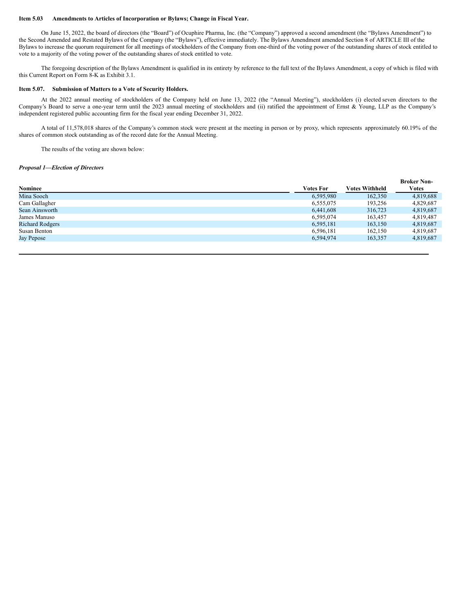#### **Item 5.03 Amendments to Articles of Incorporation or Bylaws; Change in Fiscal Year.**

On June 15, 2022, the board of directors (the "Board") of Ocuphire Pharma, Inc. (the "Company") approved a second amendment (the "Bylaws Amendment") to the Second Amended and Restated Bylaws of the Company (the "Bylaws"), effective immediately. The Bylaws Amendment amended Section 8 of ARTICLE III of the Bylaws to increase the quorum requirement for all meetings of stockholders of the Company from one-third of the voting power of the outstanding shares of stock entitled to vote to a majority of the voting power of the outstanding shares of stock entitled to vote.

The foregoing description of the Bylaws Amendment is qualified in its entirety by reference to the full text of the Bylaws Amendment, a copy of which is filed with this Current Report on Form 8-K as Exhibit 3.1.

## **Item 5.07. Submission of Matters to a Vote of Security Holders.**

At the 2022 annual meeting of stockholders of the Company held on June 13, 2022 (the "Annual Meeting"), stockholders (i) elected seven directors to the Company's Board to serve a one-year term until the 2023 annual meeting of stockholders and (ii) ratified the appointment of Ernst & Young, LLP as the Company's independent registered public accounting firm for the fiscal year ending December 31, 2022.

A total of 11,578,018 shares of the Company's common stock were present at the meeting in person or by proxy, which represents approximately 60.19% of the shares of common stock outstanding as of the record date for the Annual Meeting.

The results of the voting are shown below:

### *Proposal 1—Election of Directors*

|                        |                  |                       | <b>Broker Non-</b> |
|------------------------|------------------|-----------------------|--------------------|
| <b>Nominee</b>         | <b>Votes For</b> | <b>Votes Withheld</b> | <b>Votes</b>       |
| Mina Sooch             | 6,595,980        | 162,350               | 4,819,688          |
| Cam Gallagher          | 6,555,075        | 193,256               | 4,829,687          |
| Sean Ainsworth         | 6,441,608        | 316,723               | 4,819,687          |
| James Manuso           | 6,595,074        | 163.457               | 4.819.487          |
| <b>Richard Rodgers</b> | 6.595.181        | 163,150               | 4.819.687          |
| Susan Benton           | 6.596.181        | 162.150               | 4.819.687          |
| Jay Pepose             | 6,594,974        | 163,357               | 4,819,687          |
|                        |                  |                       |                    |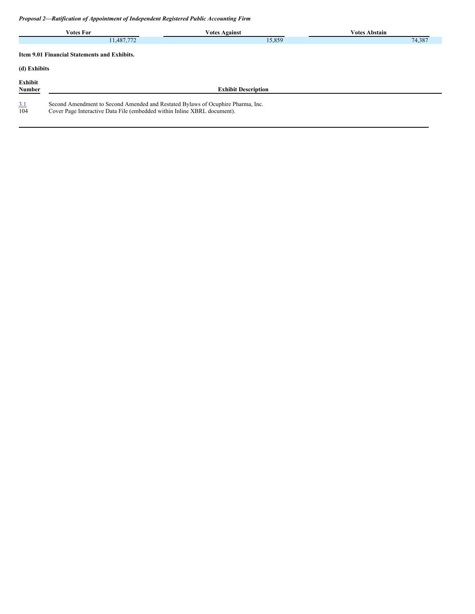*Proposal 2—Ratification of Appointment of Independent Registered Public Accounting Firm*

|                                                     | <b>Votes For</b>                                                                                                                                            | <b>Votes Against</b>       | <b>Votes Abstain</b> |
|-----------------------------------------------------|-------------------------------------------------------------------------------------------------------------------------------------------------------------|----------------------------|----------------------|
|                                                     | 11,487,772                                                                                                                                                  | 15,859                     | 74,387               |
| <b>Item 9.01 Financial Statements and Exhibits.</b> |                                                                                                                                                             |                            |                      |
| (d) Exhibits                                        |                                                                                                                                                             |                            |                      |
| Exhibit<br>Number                                   |                                                                                                                                                             | <b>Exhibit Description</b> |                      |
| 3.1<br>104                                          | Second Amendment to Second Amended and Restated Bylaws of Ocuphire Pharma, Inc.<br>Cover Page Interactive Data File (embedded within Inline XBRL document). |                            |                      |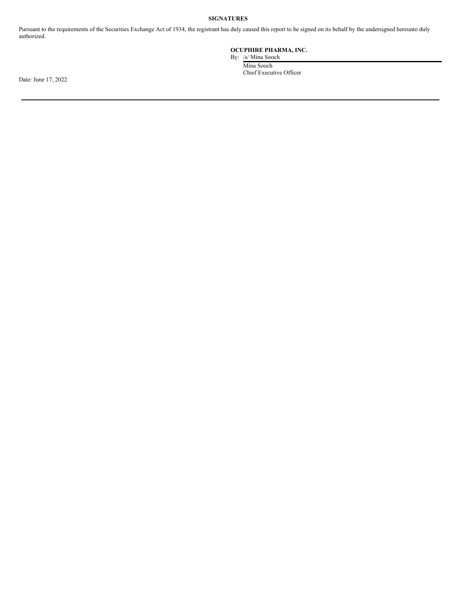## **SIGNATURES**

Pursuant to the requirements of the Securities Exchange Act of 1934, the registrant has duly caused this report to be signed on its behalf by the undersigned hereunto duly authorized.

## **OCUPHIRE PHARMA, INC.**

By: /s/ Mina Sooch

Mina Sooch Chief Executive Officer

Date: June 17, 2022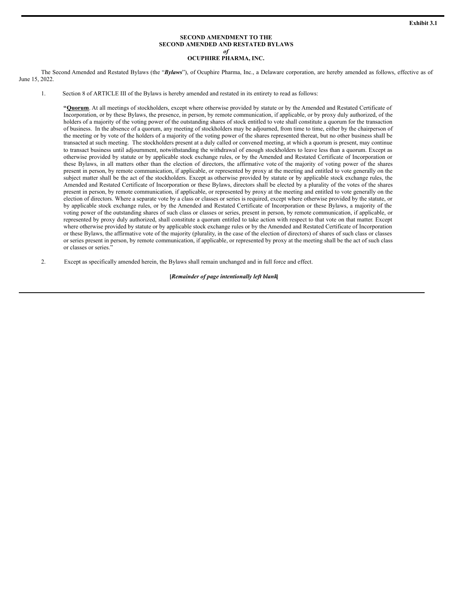#### **SECOND AMENDMENT TO THE SECOND AMENDED AND RESTATED BYLAWS** *of*

# **OCUPHIRE PHARMA, INC.**

<span id="page-4-0"></span>The Second Amended and Restated Bylaws (the "*Bylaws*"), of Ocuphire Pharma, Inc., a Delaware corporation, are hereby amended as follows, effective as of June 15, 2022.

1. Section 8 of ARTICLE III of the Bylaws is hereby amended and restated in its entirety to read as follows:

**"Quorum**. At all meetings of stockholders, except where otherwise provided by statute or by the Amended and Restated Certificate of Incorporation, or by these Bylaws, the presence, in person, by remote communication, if applicable, or by proxy duly authorized, of the holders of a majority of the voting power of the outstanding shares of stock entitled to vote shall constitute a quorum for the transaction of business. In the absence of a quorum, any meeting of stockholders may be adjourned, from time to time, either by the chairperson of the meeting or by vote of the holders of a majority of the voting power of the shares represented thereat, but no other business shall be transacted at such meeting. The stockholders present at a duly called or convened meeting, at which a quorum is present, may continue to transact business until adjournment, notwithstanding the withdrawal of enough stockholders to leave less than a quorum. Except as otherwise provided by statute or by applicable stock exchange rules, or by the Amended and Restated Certificate of Incorporation or these Bylaws, in all matters other than the election of directors, the affirmative vote of the majority of voting power of the shares present in person, by remote communication, if applicable, or represented by proxy at the meeting and entitled to vote generally on the subject matter shall be the act of the stockholders. Except as otherwise provided by statute or by applicable stock exchange rules, the Amended and Restated Certificate of Incorporation or these Bylaws, directors shall be elected by a plurality of the votes of the shares present in person, by remote communication, if applicable, or represented by proxy at the meeting and entitled to vote generally on the election of directors. Where a separate vote by a class or classes or series is required, except where otherwise provided by the statute, or by applicable stock exchange rules, or by the Amended and Restated Certificate of Incorporation or these Bylaws, a majority of the voting power of the outstanding shares of such class or classes or series, present in person, by remote communication, if applicable, or represented by proxy duly authorized, shall constitute a quorum entitled to take action with respect to that vote on that matter. Except where otherwise provided by statute or by applicable stock exchange rules or by the Amended and Restated Certificate of Incorporation or these Bylaws, the affirmative vote of the majority (plurality, in the case of the election of directors) of shares of such class or classes or series present in person, by remote communication, if applicable, or represented by proxy at the meeting shall be the act of such class or classes or series."

2. Except as specifically amended herein, the Bylaws shall remain unchanged and in full force and effect.

**[***Remainder of page intentionally left blank***]**